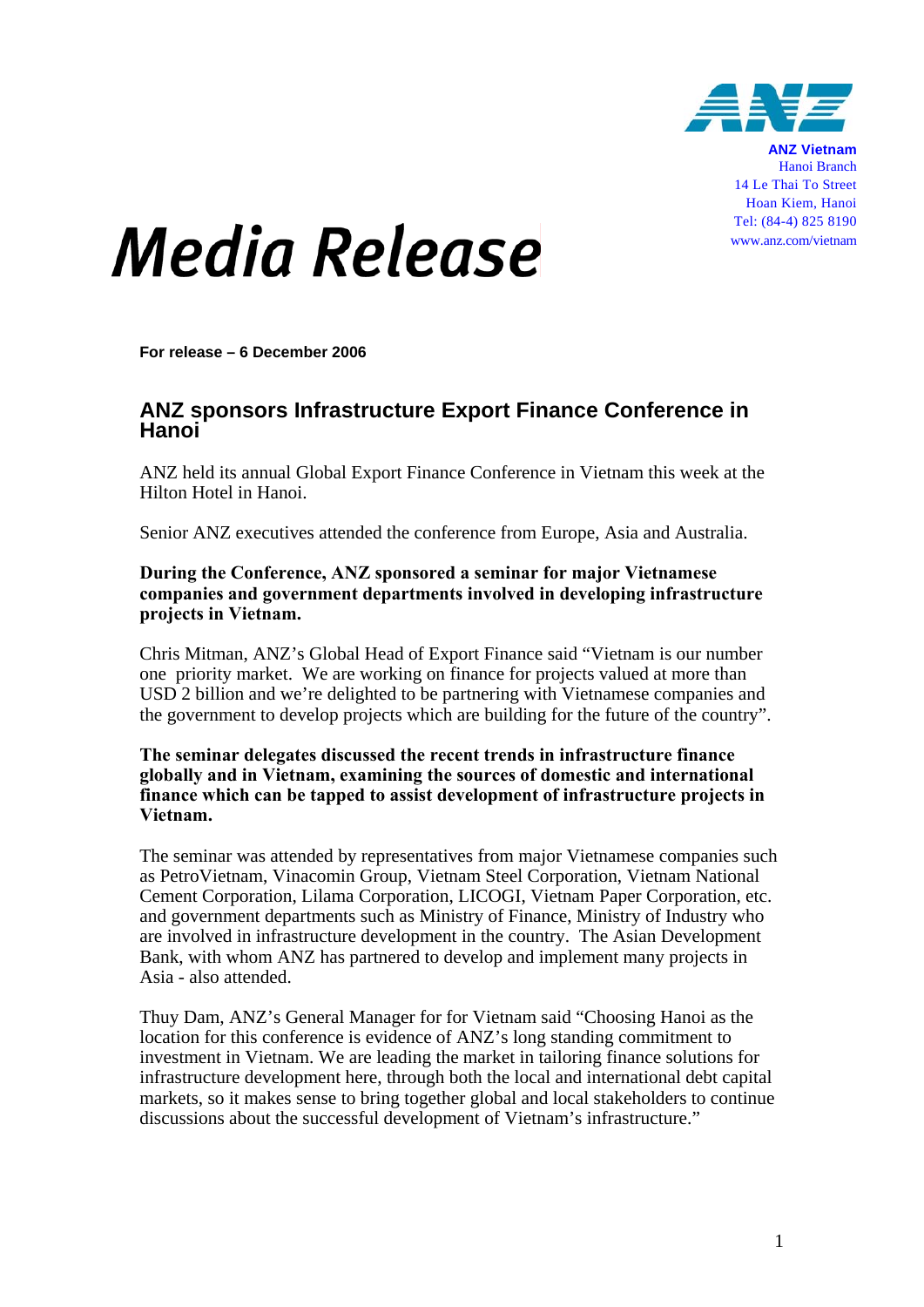

**ANZ Vietnam** Hanoi Branch 14 Le Thai To Street Hoan Kiem, Hanoi Tel: (84-4) 825 8190 www.anz.com/vietnam

## *Media Release*

**For release – 6 December 2006** 

## **ANZ sponsors Infrastructure Export Finance Conference in Hanoi**

ANZ held its annual Global Export Finance Conference in Vietnam this week at the Hilton Hotel in Hanoi.

Senior ANZ executives attended the conference from Europe, Asia and Australia.

## **During the Conference, ANZ sponsored a seminar for major Vietnamese companies and government departments involved in developing infrastructure projects in Vietnam.**

Chris Mitman, ANZ's Global Head of Export Finance said "Vietnam is our number one priority market. We are working on finance for projects valued at more than USD 2 billion and we're delighted to be partnering with Vietnamese companies and the government to develop projects which are building for the future of the country".

**The seminar delegates discussed the recent trends in infrastructure finance globally and in Vietnam, examining the sources of domestic and international finance which can be tapped to assist development of infrastructure projects in Vietnam.**

The seminar was attended by representatives from major Vietnamese companies such as PetroVietnam, Vinacomin Group, Vietnam Steel Corporation, Vietnam National Cement Corporation, Lilama Corporation, LICOGI, Vietnam Paper Corporation, etc. and government departments such as Ministry of Finance, Ministry of Industry who are involved in infrastructure development in the country. The Asian Development Bank, with whom ANZ has partnered to develop and implement many projects in Asia - also attended.

Thuy Dam, ANZ's General Manager for for Vietnam said "Choosing Hanoi as the location for this conference is evidence of ANZ's long standing commitment to investment in Vietnam. We are leading the market in tailoring finance solutions for infrastructure development here, through both the local and international debt capital markets, so it makes sense to bring together global and local stakeholders to continue discussions about the successful development of Vietnam's infrastructure."